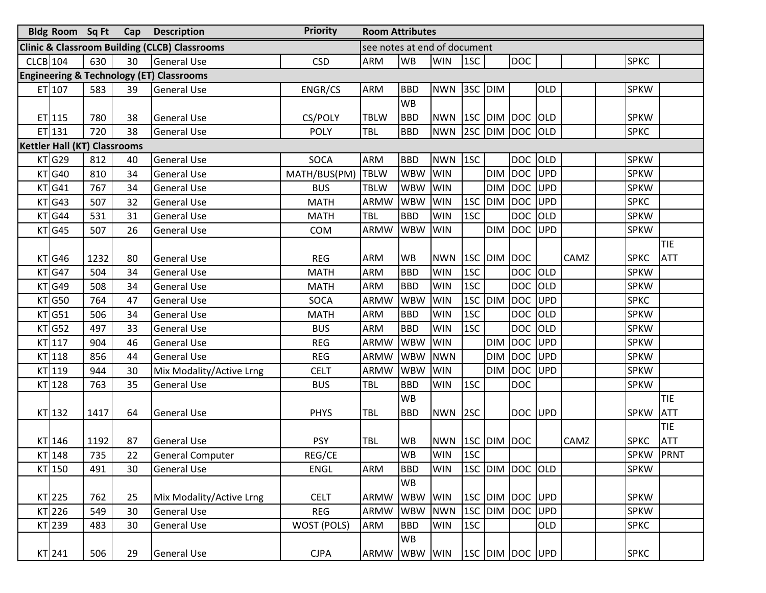|            | Bldg Room Sq Ft Cap                 |      |    | <b>Description</b>                                       | <b>Priority</b><br><b>Room Attributes</b> |                              |            |                 |         |             |                 |            |             |  |             |            |
|------------|-------------------------------------|------|----|----------------------------------------------------------|-------------------------------------------|------------------------------|------------|-----------------|---------|-------------|-----------------|------------|-------------|--|-------------|------------|
|            |                                     |      |    | <b>Clinic &amp; Classroom Building (CLCB) Classrooms</b> |                                           | see notes at end of document |            |                 |         |             |                 |            |             |  |             |            |
| $CLCB$ 104 |                                     | 630  | 30 | <b>General Use</b>                                       | <b>CSD</b>                                | <b>ARM</b>                   | <b>WB</b>  | <b>WIN</b>      | 1SC     |             | <b>DOC</b>      |            |             |  | <b>SPKC</b> |            |
|            |                                     |      |    | <b>Engineering &amp; Technology (ET) Classrooms</b>      |                                           |                              |            |                 |         |             |                 |            |             |  |             |            |
|            | $ET$ 107                            | 583  | 39 | <b>General Use</b>                                       | ENGR/CS                                   | <b>ARM</b>                   | <b>BBD</b> | <b>NWN</b>      | 3SC DIM |             |                 | OLD        |             |  | <b>SPKW</b> |            |
|            |                                     |      |    |                                                          |                                           |                              | <b>WB</b>  |                 |         |             |                 |            |             |  |             |            |
|            | $ET$ 115                            | 780  | 38 | <b>General Use</b>                                       | CS/POLY                                   | <b>TBLW</b>                  | <b>BBD</b> | <b>NWN</b>      |         |             | 1SC DIM DOC OLD |            |             |  | <b>SPKW</b> |            |
|            | $ET$ 131                            | 720  | 38 | <b>General Use</b>                                       | <b>POLY</b>                               | TBL                          | <b>BBD</b> | <b>NWN</b>      |         |             | 2SC DIM DOC OLD |            |             |  | <b>SPKC</b> |            |
|            | <b>Kettler Hall (KT) Classrooms</b> |      |    |                                                          |                                           |                              |            |                 |         |             |                 |            |             |  |             |            |
|            | KT G29                              | 812  | 40 | <b>General Use</b>                                       | SOCA                                      | <b>ARM</b>                   | <b>BBD</b> | <b>NWN</b>      | 1SC     |             | DOC OLD         |            |             |  | <b>SPKW</b> |            |
|            | $KT$ G40                            | 810  | 34 | <b>General Use</b>                                       | MATH/BUS(PM) TBLW                         |                              | <b>WBW</b> | <b>WIN</b>      |         | <b>DIM</b>  | DOC UPD         |            |             |  | <b>SPKW</b> |            |
|            | $KT$ G41                            | 767  | 34 | <b>General Use</b>                                       | <b>BUS</b>                                | <b>TBLW</b>                  | <b>WBW</b> | <b>WIN</b>      |         | <b>DIM</b>  | DOC UPD         |            |             |  | <b>SPKW</b> |            |
|            | $KT$ G43                            | 507  | 32 | <b>General Use</b>                                       | <b>MATH</b>                               | <b>ARMW</b>                  | <b>WBW</b> | <b>WIN</b>      | 1SC     | <b>DIM</b>  | <b>DOC</b>      | UPD        |             |  | <b>SPKC</b> |            |
|            | $KT$ G44                            | 531  | 31 | <b>General Use</b>                                       | <b>MATH</b>                               | <b>TBL</b>                   | <b>BBD</b> | <b>WIN</b>      | 1SC     |             | <b>DOC</b>      | <b>OLD</b> |             |  | <b>SPKW</b> |            |
|            | $KT$ G45                            | 507  | 26 | <b>General Use</b>                                       | COM                                       | ARMW                         | <b>WBW</b> | <b>WIN</b>      |         | <b>DIM</b>  | <b>DOC</b>      | UPD        |             |  | <b>SPKW</b> |            |
|            |                                     |      |    |                                                          |                                           |                              |            |                 |         |             |                 |            |             |  |             | TIE        |
|            | $KT$ G46                            | 1232 | 80 | <b>General Use</b>                                       | <b>REG</b>                                | <b>ARM</b>                   | WB         | <b>NWN</b>      |         | 1SC DIM DOC |                 |            | CAMZ        |  | <b>SPKC</b> | <b>ATT</b> |
|            | $KT$ G47                            | 504  | 34 | <b>General Use</b>                                       | <b>MATH</b>                               | <b>ARM</b>                   | <b>BBD</b> | <b>WIN</b>      | 1SC     |             | <b>DOC</b>      | OLD        |             |  | <b>SPKW</b> |            |
|            | $KT$ G49                            | 508  | 34 | <b>General Use</b>                                       | <b>MATH</b>                               | <b>ARM</b>                   | <b>BBD</b> | <b>WIN</b>      | 1SC     |             | <b>DOC</b>      | OLD        |             |  | <b>SPKW</b> |            |
|            | $KT$ G50                            | 764  | 47 | <b>General Use</b>                                       | SOCA                                      | <b>ARMW</b>                  | <b>WBW</b> | <b>WIN</b>      | 1SC     | <b>DIM</b>  | <b>DOC</b>      | UPD        |             |  | <b>SPKC</b> |            |
|            | $KT$ G51                            | 506  | 34 | <b>General Use</b>                                       | <b>MATH</b>                               | <b>ARM</b>                   | <b>BBD</b> | <b>WIN</b>      | 1SC     |             | <b>DOC</b>      | OLD        |             |  | <b>SPKW</b> |            |
|            | $KT$ G52                            | 497  | 33 | <b>General Use</b>                                       | <b>BUS</b>                                | <b>ARM</b>                   | <b>BBD</b> | <b>WIN</b>      | 1SC     |             | <b>DOC</b>      | OLD        |             |  | <b>SPKW</b> |            |
|            | $KT$ 117                            | 904  | 46 | <b>General Use</b>                                       | <b>REG</b>                                | <b>ARMW</b>                  | <b>WBW</b> | <b>WIN</b>      |         | <b>DIM</b>  | <b>DOC</b>      | UPD        |             |  | <b>SPKW</b> |            |
|            | $KT$ 118                            | 856  | 44 | <b>General Use</b>                                       | <b>REG</b>                                | <b>ARMW</b>                  | <b>WBW</b> | <b>NWN</b>      |         | <b>DIM</b>  | <b>DOC</b>      | UPD        |             |  | <b>SPKW</b> |            |
|            | KT 119                              | 944  | 30 | Mix Modality/Active Lrng                                 | <b>CELT</b>                               | <b>ARMW</b>                  | <b>WBW</b> | <b>WIN</b>      |         | <b>DIM</b>  | <b>DOC</b>      | UPD        |             |  | <b>SPKW</b> |            |
|            | KT <sub>128</sub>                   | 763  | 35 | <b>General Use</b>                                       | <b>BUS</b>                                | <b>TBL</b>                   | <b>BBD</b> | <b>WIN</b>      | 1SC     |             | <b>DOC</b>      |            |             |  | <b>SPKW</b> |            |
|            |                                     |      |    |                                                          |                                           |                              | <b>WB</b>  |                 |         |             |                 |            |             |  |             | TIE        |
|            | KT 132                              | 1417 | 64 | <b>General Use</b>                                       | <b>PHYS</b>                               | <b>TBL</b>                   | <b>BBD</b> | <b>NWN</b>      | 2SC     |             | DOC UPD         |            |             |  | <b>SPKW</b> | <b>ATT</b> |
|            |                                     |      |    |                                                          |                                           |                              |            |                 |         |             |                 |            |             |  |             | TIE        |
|            | KT 146                              | 1192 | 87 | <b>General Use</b>                                       | <b>PSY</b>                                | TBL                          | <b>WB</b>  | NWN 1SC DIM DOC |         |             |                 |            | <b>CAMZ</b> |  | <b>SPKC</b> | <b>ATT</b> |
|            | $KT$ 148                            | 735  | 22 | General Computer                                         | REG/CE                                    |                              | <b>WB</b>  | <b>WIN</b>      | 1SC     |             |                 |            |             |  | SPKW PRNT   |            |
|            | KT 150                              | 491  | 30 | <b>General Use</b>                                       | <b>ENGL</b>                               | <b>ARM</b>                   | <b>BBD</b> | <b>WIN</b>      |         |             | 1SC DIM DOC OLD |            |             |  | <b>SPKW</b> |            |
|            |                                     |      |    |                                                          |                                           |                              | <b>WB</b>  |                 |         |             |                 |            |             |  |             |            |
|            | KT 225                              | 762  | 25 | Mix Modality/Active Lrng                                 | <b>CELT</b>                               | ARMW WBW WIN                 |            |                 |         |             | 1SC DIM DOC UPD |            |             |  | <b>SPKW</b> |            |
|            | KT 226                              | 549  | 30 | <b>General Use</b>                                       | <b>REG</b>                                | ARMW                         | WBW NWN    |                 |         |             | 1SC DIM DOC UPD |            |             |  | <b>SPKW</b> |            |
|            | KT 239                              | 483  | 30 | <b>General Use</b>                                       | WOST (POLS)                               | <b>ARM</b>                   | <b>BBD</b> | <b>WIN</b>      | 1SC     |             |                 | <b>OLD</b> |             |  | <b>SPKC</b> |            |
|            |                                     |      |    |                                                          |                                           |                              | <b>WB</b>  |                 |         |             |                 |            |             |  |             |            |
|            | KT 241                              | 506  | 29 | <b>General Use</b>                                       | <b>CJPA</b>                               | ARMW WBW WIN                 |            |                 |         |             | 1SC DIM DOC UPD |            |             |  | <b>SPKC</b> |            |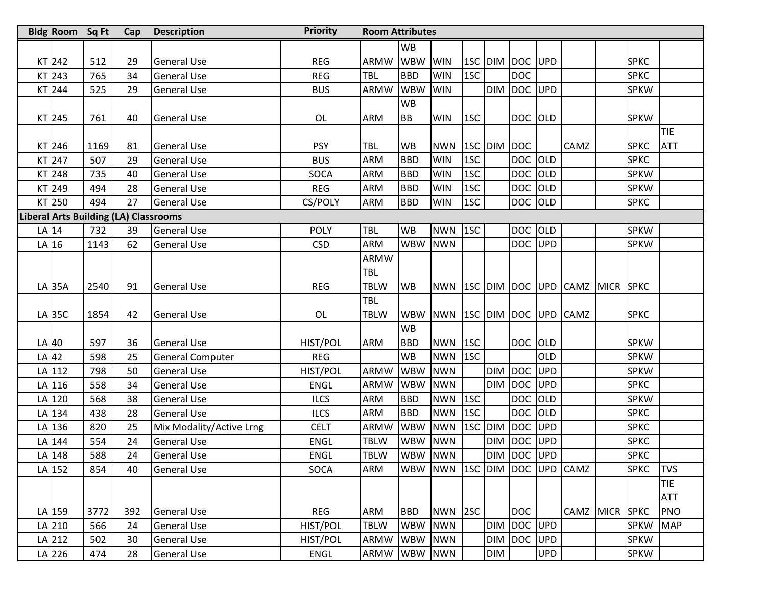| Bldg Room Sq Ft |      | Cap                                          | <b>Priority</b><br><b>Description</b><br><b>Room Attributes</b> |             |              |            |                              |     |             |                        |            |                                |  |             |            |
|-----------------|------|----------------------------------------------|-----------------------------------------------------------------|-------------|--------------|------------|------------------------------|-----|-------------|------------------------|------------|--------------------------------|--|-------------|------------|
|                 |      |                                              |                                                                 |             |              | <b>WB</b>  |                              |     |             |                        |            |                                |  |             |            |
| KT 242          | 512  | 29                                           | <b>General Use</b>                                              | <b>REG</b>  | ARMW         | <b>WBW</b> | <b>WIN</b>                   |     |             | 1SC DIM DOC UPD        |            |                                |  | <b>SPKC</b> |            |
| KT 243          | 765  | 34                                           | <b>General Use</b>                                              | <b>REG</b>  | <b>TBL</b>   | <b>BBD</b> | <b>WIN</b>                   | 1SC |             | <b>DOC</b>             |            |                                |  | <b>SPKC</b> |            |
| KT 244          | 525  | 29                                           | <b>General Use</b>                                              | <b>BUS</b>  | ARMW         | <b>WBW</b> | <b>WIN</b>                   |     | <b>DIM</b>  | DOC UPD                |            |                                |  | <b>SPKW</b> |            |
|                 |      |                                              |                                                                 |             |              | <b>WB</b>  |                              |     |             |                        |            |                                |  |             |            |
| KT 245          | 761  | 40                                           | <b>General Use</b>                                              | OL          | <b>ARM</b>   | <b>BB</b>  | <b>WIN</b>                   | 1SC |             | DOC OLD                |            |                                |  | <b>SPKW</b> |            |
|                 |      |                                              |                                                                 |             |              |            |                              |     |             |                        |            |                                |  |             | TIE        |
| KT 246          | 1169 | 81                                           | <b>General Use</b>                                              | <b>PSY</b>  | TBL          | <b>WB</b>  | <b>NWN</b>                   |     | 1SC DIM DOC |                        |            | CAMZ                           |  | <b>SPKC</b> | <b>ATT</b> |
| KT 247          | 507  | 29                                           | General Use                                                     | <b>BUS</b>  | <b>ARM</b>   | <b>BBD</b> | <b>WIN</b>                   | 1SC |             | DOC OLD                |            |                                |  | <b>SPKC</b> |            |
| <b>KT</b> 248   | 735  | 40                                           | <b>General Use</b>                                              | SOCA        | <b>ARM</b>   | <b>BBD</b> | <b>WIN</b>                   | 1SC |             | DOC OLD                |            |                                |  | <b>SPKW</b> |            |
| KT 249          | 494  | 28                                           | <b>General Use</b>                                              | <b>REG</b>  | <b>ARM</b>   | <b>BBD</b> | <b>WIN</b>                   | 1SC |             | DOC OLD                |            |                                |  | <b>SPKW</b> |            |
| KT 250          | 494  | 27                                           | <b>General Use</b>                                              | CS/POLY     | <b>ARM</b>   | <b>BBD</b> | <b>WIN</b>                   | 1SC |             | DOC OLD                |            |                                |  | <b>SPKC</b> |            |
|                 |      | <b>Liberal Arts Building (LA) Classrooms</b> |                                                                 |             |              |            |                              |     |             |                        |            |                                |  |             |            |
| $LA$ 14         | 732  | 39                                           | <b>General Use</b>                                              | <b>POLY</b> | TBL          | <b>WB</b>  | <b>NWN</b>                   | 1SC |             | DOC OLD                |            |                                |  | <b>SPKW</b> |            |
| $LA$ 16         | 1143 | 62                                           | <b>General Use</b>                                              | <b>CSD</b>  | <b>ARM</b>   | <b>WBW</b> | <b>NWN</b>                   |     |             | DOC UPD                |            |                                |  | <b>SPKW</b> |            |
|                 |      |                                              |                                                                 |             | ARMW         |            |                              |     |             |                        |            |                                |  |             |            |
|                 |      |                                              |                                                                 |             | <b>TBL</b>   |            |                              |     |             |                        |            |                                |  |             |            |
| $LA$ 35A        | 2540 | 91                                           | <b>General Use</b>                                              | <b>REG</b>  | <b>TBLW</b>  | <b>WB</b>  | <b>NWN</b>                   |     |             |                        |            | 1SC DIM DOC UPD CAMZ MICR SPKC |  |             |            |
|                 |      |                                              |                                                                 |             | <b>TBL</b>   |            |                              |     |             |                        |            |                                |  |             |            |
| LA 35C          | 1854 | 42                                           | <b>General Use</b>                                              | OL          | <b>TBLW</b>  | <b>WBW</b> | <b>NWN</b>                   |     |             | <b>1SC DIM DOC UPD</b> |            | <b>CAMZ</b>                    |  | <b>SPKC</b> |            |
|                 |      |                                              |                                                                 |             |              | <b>WB</b>  |                              |     |             |                        |            |                                |  |             |            |
| $LA$ 40         | 597  | 36                                           | <b>General Use</b>                                              | HIST/POL    | <b>ARM</b>   | <b>BBD</b> | <b>NWN</b>                   | 1SC |             | DOC OLD                |            |                                |  | <b>SPKW</b> |            |
| $LA$ 42         | 598  | 25                                           | <b>General Computer</b>                                         | <b>REG</b>  |              | <b>WB</b>  | <b>NWN</b>                   | 1SC |             |                        | <b>OLD</b> |                                |  | <b>SPKW</b> |            |
| $LA$ 112        | 798  | 50                                           | General Use                                                     | HIST/POL    | <b>ARMW</b>  | <b>WBW</b> | <b>NWN</b>                   |     | <b>DIM</b>  | <b>DOC</b>             | UPD        |                                |  | <b>SPKW</b> |            |
| $LA$ 116        | 558  | 34                                           | <b>General Use</b>                                              | <b>ENGL</b> | ARMW         | <b>WBW</b> | <b>NWN</b>                   |     | <b>DIM</b>  | <b>DOC</b>             | UPD        |                                |  | <b>SPKC</b> |            |
| LA 120          | 568  | 38                                           | <b>General Use</b>                                              | <b>ILCS</b> | <b>ARM</b>   | <b>BBD</b> | <b>NWN</b>                   | 1SC |             | <b>DOC</b>             | OLD        |                                |  | <b>SPKW</b> |            |
| $LA$ 134        | 438  | 28                                           | <b>General Use</b>                                              | <b>ILCS</b> | <b>ARM</b>   | <b>BBD</b> | <b>NWN</b>                   | 1SC |             | DOC OLD                |            |                                |  | <b>SPKC</b> |            |
| LA 136          | 820  | 25                                           | Mix Modality/Active Lrng                                        | <b>CELT</b> | <b>ARMW</b>  | <b>WBW</b> | <b>NWN</b>                   |     | 1SC DIM     | <b>DOC</b>             | UPD        |                                |  | <b>SPKC</b> |            |
| LA 144          | 554  | 24                                           | <b>General Use</b>                                              | <b>ENGL</b> | TBLW         | <b>WBW</b> | <b>NWN</b>                   |     | <b>DIM</b>  | DOC UPD                |            |                                |  | <b>SPKC</b> |            |
| LA 148          | 588  | 24                                           | <b>General Use</b>                                              | <b>ENGL</b> | <b>TBLW</b>  | WBW NWN    |                              |     |             | DIM DOC UPD            |            |                                |  | SPKC        |            |
| $LA$ 152        | 854  | 40                                           | <b>General Use</b>                                              | <b>SOCA</b> | <b>ARM</b>   |            | WBW NWN 1SC DIM DOC UPD CAMZ |     |             |                        |            |                                |  | <b>SPKC</b> | <b>TVS</b> |
|                 |      |                                              |                                                                 |             |              |            |                              |     |             |                        |            |                                |  |             | TIE        |
|                 |      |                                              |                                                                 |             |              |            |                              |     |             |                        |            |                                |  |             | <b>ATT</b> |
| LA 159          | 3772 | 392                                          | <b>General Use</b>                                              | <b>REG</b>  | <b>ARM</b>   | <b>BBD</b> | NWN 2SC                      |     |             | <b>DOC</b>             |            | CAMZ MICR SPKC                 |  |             | PNO        |
| $LA$ 210        | 566  | 24                                           | <b>General Use</b>                                              | HIST/POL    | <b>TBLW</b>  | <b>WBW</b> | <b>NWN</b>                   |     |             | DIM DOC UPD            |            |                                |  | <b>SPKW</b> | <b>MAP</b> |
| LA 212          | 502  | 30                                           | <b>General Use</b>                                              | HIST/POL    | ARMW         | WBW NWN    |                              |     |             | DIM DOC UPD            |            |                                |  | <b>SPKW</b> |            |
| LA 226          | 474  | 28                                           | <b>General Use</b>                                              | ENGL        | ARMW WBW NWN |            |                              |     | <b>DIM</b>  |                        | <b>UPD</b> |                                |  | <b>SPKW</b> |            |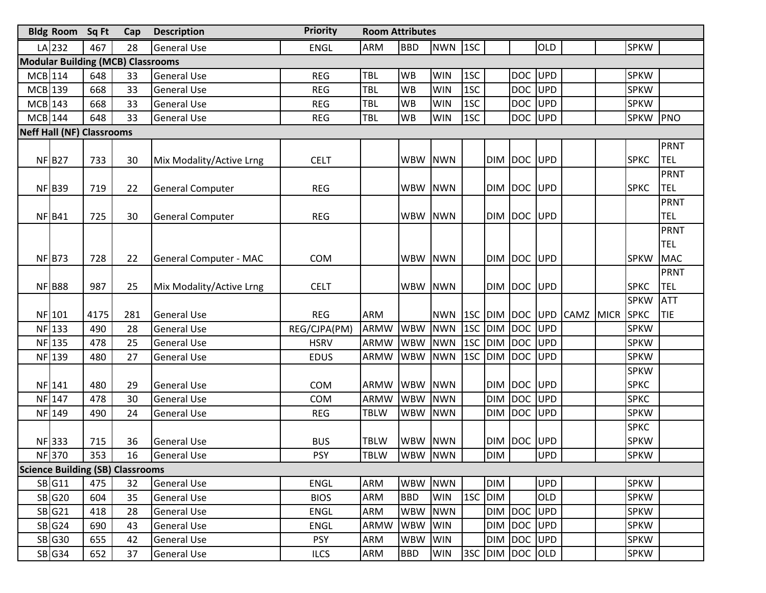|           | <b>Bldg Room</b> Sq Ft                   |      | Cap | <b>Description</b>            | <b>Priority</b> | <b>Room Attributes</b> |            |            |            |            |             |            |             |             |                            |             |
|-----------|------------------------------------------|------|-----|-------------------------------|-----------------|------------------------|------------|------------|------------|------------|-------------|------------|-------------|-------------|----------------------------|-------------|
|           | LA 232                                   | 467  | 28  | <b>General Use</b>            | <b>ENGL</b>     | <b>ARM</b>             | <b>BBD</b> | <b>NWN</b> | 1SC        |            |             | OLD        |             |             | <b>SPKW</b>                |             |
|           | <b>Modular Building (MCB) Classrooms</b> |      |     |                               |                 |                        |            |            |            |            |             |            |             |             |                            |             |
| MCB 114   |                                          | 648  | 33  | <b>General Use</b>            | <b>REG</b>      | TBL                    | <b>WB</b>  | <b>WIN</b> | 1SC        |            | DOC UPD     |            |             |             | <b>SPKW</b>                |             |
| $MCB$ 139 |                                          | 668  | 33  | <b>General Use</b>            | <b>REG</b>      | TBL                    | <b>WB</b>  | <b>WIN</b> | 1SC        |            | DOC UPD     |            |             |             | <b>SPKW</b>                |             |
| $MCB$ 143 |                                          | 668  | 33  | <b>General Use</b>            | <b>REG</b>      | TBL                    | <b>WB</b>  | <b>WIN</b> | 1SC        |            | DOC UPD     |            |             |             | <b>SPKW</b>                |             |
| $MCB$ 144 |                                          | 648  | 33  | <b>General Use</b>            | <b>REG</b>      | <b>TBL</b>             | WB         | <b>WIN</b> | 1SC        |            | DOC UPD     |            |             |             | <b>SPKW</b>                | PNO         |
|           | <b>Neff Hall (NF) Classrooms</b>         |      |     |                               |                 |                        |            |            |            |            |             |            |             |             |                            |             |
|           |                                          |      |     |                               |                 |                        |            |            |            |            |             |            |             |             |                            | <b>PRNT</b> |
|           | NFB27                                    | 733  | 30  | Mix Modality/Active Lrng      | <b>CELT</b>     |                        | WBW NWN    |            |            |            | DIM DOC UPD |            |             |             | <b>SPKC</b>                | TEL         |
|           |                                          |      |     |                               |                 |                        |            |            |            |            |             |            |             |             |                            | <b>PRNT</b> |
|           | <b>NF B39</b>                            | 719  | 22  | <b>General Computer</b>       | <b>REG</b>      |                        | WBW NWN    |            |            |            | DIM DOC UPD |            |             |             | <b>SPKC</b>                | <b>TEL</b>  |
|           |                                          |      |     |                               |                 |                        |            |            |            |            |             |            |             |             |                            | <b>PRNT</b> |
|           | $NF$ $B41$                               | 725  | 30  | <b>General Computer</b>       | <b>REG</b>      |                        | WBW NWN    |            |            |            | DIM DOC UPD |            |             |             |                            | <b>TEL</b>  |
|           |                                          |      |     |                               |                 |                        |            |            |            |            |             |            |             |             |                            | <b>PRNT</b> |
|           |                                          |      |     |                               |                 |                        |            |            |            |            |             |            |             |             |                            | <b>TEL</b>  |
|           | $NF$ B73                                 | 728  | 22  | <b>General Computer - MAC</b> | <b>COM</b>      |                        | WBW NWN    |            |            |            | DIM DOC UPD |            |             |             | <b>SPKW</b>                | <b>MAC</b>  |
|           |                                          |      |     |                               |                 |                        |            |            |            |            |             |            |             |             |                            | <b>PRNT</b> |
|           | NFB88                                    | 987  | 25  | Mix Modality/Active Lrng      | <b>CELT</b>     |                        | WBW NWN    |            |            |            | DIM DOC UPD |            |             |             | <b>SPKC</b>                | <b>TEL</b>  |
|           |                                          |      |     |                               |                 |                        |            |            |            |            |             |            |             |             | <b>SPKW</b>                | <b>ATT</b>  |
|           | NF 101                                   | 4175 | 281 | <b>General Use</b>            | <b>REG</b>      | <b>ARM</b>             |            | <b>NWN</b> | 1SC        |            | DIM DOC UPD |            | <b>CAMZ</b> | <b>MICR</b> | SPKC                       | TIE         |
|           | NF 133                                   | 490  | 28  | <b>General Use</b>            | REG/CJPA(PM)    | <b>ARMW</b>            | <b>WBW</b> | <b>NWN</b> | 1SC        |            | DIM DOC UPD |            |             |             | <b>SPKW</b>                |             |
|           | NF 135                                   | 478  | 25  | <b>General Use</b>            | <b>HSRV</b>     | <b>ARMW</b>            | <b>WBW</b> | <b>NWN</b> | 1SC<br>1SC |            | DIM DOC UPD |            |             |             | <b>SPKW</b>                |             |
|           | NF 139                                   | 480  | 27  | <b>General Use</b>            | <b>EDUS</b>     | ARMW                   | <b>WBW</b> | <b>NWN</b> |            |            | DIM DOC UPD |            |             |             | <b>SPKW</b><br><b>SPKW</b> |             |
|           | NF 141                                   | 480  | 29  | <b>General Use</b>            | COM             | ARMW                   | WBW NWN    |            |            |            | DIM DOC UPD |            |             |             | <b>SPKC</b>                |             |
|           | NF 147                                   | 478  | 30  | <b>General Use</b>            | <b>COM</b>      | ARMW                   | <b>WBW</b> | <b>NWN</b> |            | DIM DOC    |             | <b>UPD</b> |             |             | <b>SPKC</b>                |             |
|           | NF 149                                   | 490  | 24  | <b>General Use</b>            | <b>REG</b>      | TBLW                   | WBW NWN    |            |            |            | DIM DOC UPD |            |             |             | <b>SPKW</b>                |             |
|           |                                          |      |     |                               |                 |                        |            |            |            |            |             |            |             |             | <b>SPKC</b>                |             |
|           | NF 333                                   | 715  | 36  | <b>General Use</b>            | <b>BUS</b>      | <b>TBLW</b>            | WBW NWN    |            |            | DIM DOC    |             | UPD        |             |             | <b>SPKW</b>                |             |
|           |                                          |      |     | NF 370 353 16 General Use     | <b>PSY</b>      | <b>TBLW</b>            | WBW NWN    |            |            | <b>DIM</b> |             | <b>UPD</b> |             |             | <b>SPKW</b>                |             |
|           | <b>Science Building (SB) Classrooms</b>  |      |     |                               |                 |                        |            |            |            |            |             |            |             |             |                            |             |
|           | SB G11                                   | 475  | 32  | <b>General Use</b>            | <b>ENGL</b>     | <b>ARM</b>             | WBW NWN    |            |            | <b>DIM</b> |             | <b>UPD</b> |             |             | <b>SPKW</b>                |             |
|           | <b>SB</b> G20                            | 604  | 35  | <b>General Use</b>            | <b>BIOS</b>     | <b>ARM</b>             | <b>BBD</b> | <b>WIN</b> | 1SC        | <b>DIM</b> |             | OLD        |             |             | <b>SPKW</b>                |             |
|           | SB G21                                   | 418  | 28  | <b>General Use</b>            | <b>ENGL</b>     | <b>ARM</b>             | WBW        | <b>NWN</b> |            |            | DIM DOC UPD |            |             |             | <b>SPKW</b>                |             |
|           | SB G24                                   | 690  | 43  | <b>General Use</b>            | <b>ENGL</b>     | <b>ARMW</b>            | <b>WBW</b> | <b>WIN</b> |            |            | DIM DOC UPD |            |             |             | <b>SPKW</b>                |             |
|           | <b>SB</b> G30                            | 655  | 42  | <b>General Use</b>            | <b>PSY</b>      | <b>ARM</b>             | <b>WBW</b> | <b>WIN</b> |            |            | DIM DOC UPD |            |             |             | <b>SPKW</b>                |             |
|           | SB G34                                   | 652  | 37  | <b>General Use</b>            | <b>ILCS</b>     | <b>ARM</b>             | <b>BBD</b> | <b>WIN</b> | 3SC        |            | DIM DOC OLD |            |             |             | <b>SPKW</b>                |             |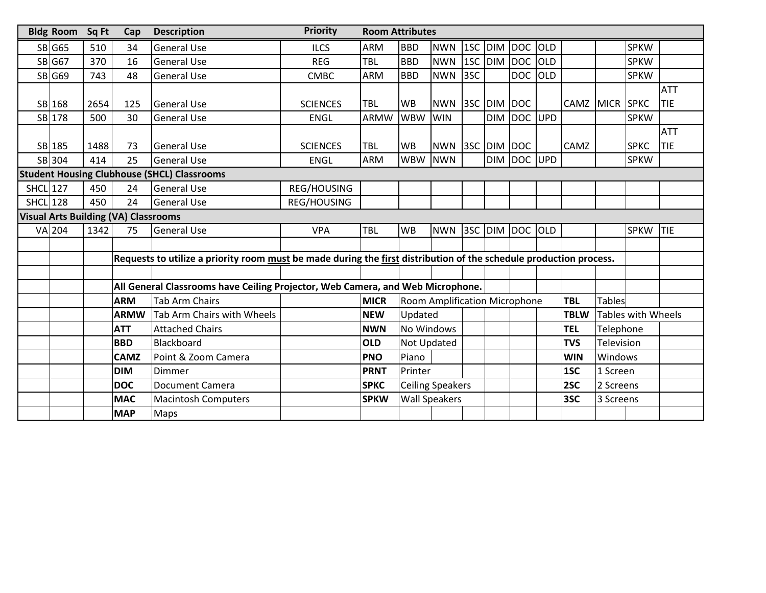|                                                    | <b>Bldg Room</b> | <b>Priority</b><br><b>Description</b><br>Sq Ft<br>Cap |                                                    |                                                                                                                    |                 |                                                                                |            | <b>Room Attributes</b>        |         |             |            |     |             |               |                           |            |  |
|----------------------------------------------------|------------------|-------------------------------------------------------|----------------------------------------------------|--------------------------------------------------------------------------------------------------------------------|-----------------|--------------------------------------------------------------------------------|------------|-------------------------------|---------|-------------|------------|-----|-------------|---------------|---------------------------|------------|--|
|                                                    | <b>SB</b> G65    | 510                                                   | 34                                                 | <b>General Use</b>                                                                                                 | <b>ILCS</b>     | <b>ARM</b>                                                                     | <b>BBD</b> | <b>NWN</b>                    | 1SC     | DIM         | DOC OLD    |     |             |               | <b>SPKW</b>               |            |  |
|                                                    | <b>SB</b> G67    | 370                                                   | 16                                                 | <b>General Use</b>                                                                                                 | <b>REG</b>      | TBL                                                                            | <b>BBD</b> | <b>NWN</b>                    | 1SC     | DIM         | <b>DOC</b> | OLD |             |               | <b>SPKW</b>               |            |  |
|                                                    | <b>SB</b> G69    | 743                                                   | 48                                                 | <b>General Use</b>                                                                                                 | <b>CMBC</b>     | <b>ARM</b>                                                                     | <b>BBD</b> | <b>NWN</b>                    | 3SC     |             | <b>DOC</b> | OLD |             |               | <b>SPKW</b>               |            |  |
|                                                    |                  |                                                       |                                                    |                                                                                                                    |                 |                                                                                |            |                               |         |             |            |     |             |               |                           | <b>ATT</b> |  |
|                                                    | SB 168           | 2654                                                  | 125                                                | <b>General Use</b>                                                                                                 | <b>SCIENCES</b> | TBL                                                                            | <b>WB</b>  | <b>NWN</b>                    | 3SC DIM |             | <b>DOC</b> |     | CAMZ MICR   |               | <b>SPKC</b>               | TIE        |  |
|                                                    | SB 178           | 500                                                   | 30                                                 | <b>General Use</b>                                                                                                 | <b>ENGL</b>     | ARMW                                                                           | <b>WBW</b> | <b>WIN</b>                    |         | <b>DIM</b>  | <b>DOC</b> | UPD |             |               | <b>SPKW</b>               |            |  |
|                                                    |                  |                                                       |                                                    |                                                                                                                    |                 |                                                                                |            |                               |         |             | <b>ATT</b> |     |             |               |                           |            |  |
|                                                    | SB 185           | 1488                                                  | 73                                                 | TBL<br><b>WB</b><br><b>SCIENCES</b><br><b>NWN</b><br>3SC DIM DOC<br><b>General Use</b>                             |                 |                                                                                |            | <b>CAMZ</b>                   |         | <b>SPKC</b> | TIE        |     |             |               |                           |            |  |
|                                                    | SB 304           | 414                                                   | 25                                                 | <b>General Use</b>                                                                                                 | <b>ENGL</b>     | <b>ARM</b>                                                                     | <b>WBW</b> | <b>NWN</b>                    |         | <b>DIM</b>  | DOC        | UPD |             |               | <b>SPKW</b>               |            |  |
|                                                    |                  |                                                       | <b>Student Housing Clubhouse (SHCL) Classrooms</b> |                                                                                                                    |                 |                                                                                |            |                               |         |             |            |     |             |               |                           |            |  |
| <b>SHCL 127</b>                                    |                  | 450                                                   | 24                                                 | <b>General Use</b>                                                                                                 | REG/HOUSING     |                                                                                |            |                               |         |             |            |     |             |               |                           |            |  |
| <b>SHCL</b> 128<br>450<br>24<br><b>General Use</b> |                  | REG/HOUSING                                           |                                                    |                                                                                                                    |                 |                                                                                |            |                               |         |             |            |     |             |               |                           |            |  |
| <b>Visual Arts Building (VA) Classrooms</b>        |                  |                                                       |                                                    |                                                                                                                    |                 |                                                                                |            |                               |         |             |            |     |             |               |                           |            |  |
|                                                    | <b>VA 204</b>    | 1342<br>75                                            |                                                    | <b>General Use</b>                                                                                                 | <b>VPA</b>      | TBL                                                                            | <b>WB</b>  | <b>NWN</b>                    | 3SC DIM |             | DOC OLD    |     |             |               | <b>SPKW</b>               | <b>TIE</b> |  |
|                                                    |                  |                                                       |                                                    |                                                                                                                    |                 |                                                                                |            |                               |         |             |            |     |             |               |                           |            |  |
|                                                    |                  |                                                       |                                                    | Requests to utilize a priority room must be made during the first distribution of the schedule production process. |                 |                                                                                |            |                               |         |             |            |     |             |               |                           |            |  |
|                                                    |                  |                                                       |                                                    |                                                                                                                    |                 |                                                                                |            |                               |         |             |            |     |             |               |                           |            |  |
|                                                    |                  |                                                       |                                                    |                                                                                                                    |                 | All General Classrooms have Ceiling Projector, Web Camera, and Web Microphone. |            |                               |         |             |            |     |             |               |                           |            |  |
|                                                    |                  |                                                       | <b>ARM</b>                                         | <b>Tab Arm Chairs</b>                                                                                              |                 | <b>MICR</b>                                                                    |            | Room Amplification Microphone |         |             |            |     | <b>TBL</b>  | <b>Tables</b> |                           |            |  |
|                                                    |                  |                                                       | <b>ARMW</b>                                        | Tab Arm Chairs with Wheels                                                                                         |                 | <b>NEW</b>                                                                     | Updated    |                               |         |             |            |     | <b>TBLW</b> |               | <b>Tables with Wheels</b> |            |  |
|                                                    |                  |                                                       | <b>ATT</b>                                         | <b>Attached Chairs</b>                                                                                             |                 | <b>NWN</b>                                                                     | No Windows |                               |         |             |            |     | <b>TEL</b>  | Telephone     |                           |            |  |
|                                                    |                  |                                                       | <b>BBD</b>                                         | Blackboard                                                                                                         |                 | <b>OLD</b>                                                                     |            | Not Updated                   |         |             |            |     | <b>TVS</b>  | Television    |                           |            |  |
|                                                    |                  | <b>CAMZ</b><br>Point & Zoom Camera                    |                                                    |                                                                                                                    |                 | <b>PNO</b>                                                                     | Piano      |                               |         |             |            |     | <b>WIN</b>  | Windows       |                           |            |  |
|                                                    |                  |                                                       | <b>DIM</b>                                         | Dimmer                                                                                                             |                 | <b>PRNT</b>                                                                    | Printer    |                               |         |             |            |     | 1SC         | 1 Screen      |                           |            |  |
|                                                    |                  |                                                       | <b>DOC</b>                                         | <b>Document Camera</b>                                                                                             |                 | <b>SPKC</b>                                                                    |            | <b>Ceiling Speakers</b>       |         |             |            |     | 2SC         | 2 Screens     |                           |            |  |
|                                                    |                  |                                                       | <b>MAC</b>                                         | <b>Macintosh Computers</b>                                                                                         |                 | <b>SPKW</b>                                                                    |            | <b>Wall Speakers</b>          |         |             |            | 3SC |             | 3 Screens     |                           |            |  |
|                                                    |                  |                                                       | <b>MAP</b>                                         | Maps                                                                                                               |                 |                                                                                |            |                               |         |             |            |     |             |               |                           |            |  |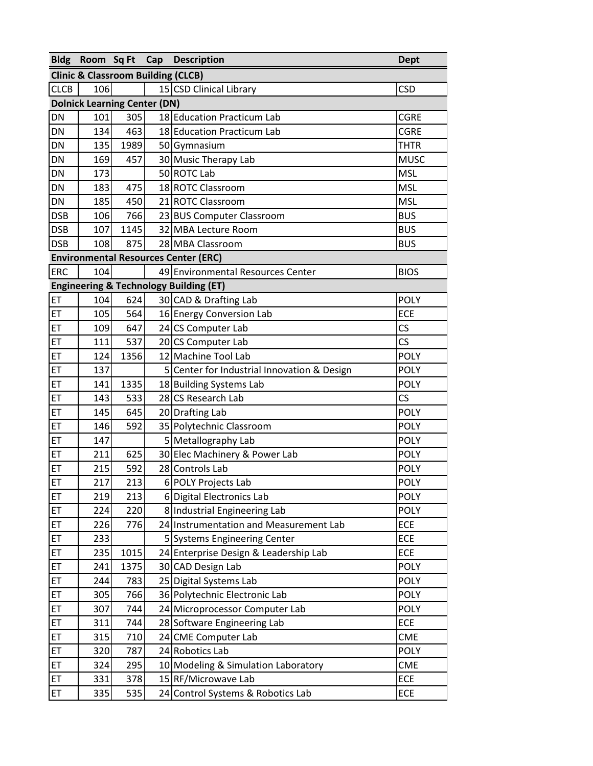|             |                                               |      | Bldg Room Sq Ft Cap Description                   | <b>Dept</b> |
|-------------|-----------------------------------------------|------|---------------------------------------------------|-------------|
|             | <b>Clinic &amp; Classroom Building (CLCB)</b> |      |                                                   |             |
| <b>CLCB</b> | 106                                           |      | 15 CSD Clinical Library                           | <b>CSD</b>  |
|             | <b>Dolnick Learning Center (DN)</b>           |      |                                                   |             |
| <b>DN</b>   | 101                                           | 305  | 18 Education Practicum Lab                        | <b>CGRE</b> |
| <b>DN</b>   | 134                                           | 463  | 18 Education Practicum Lab                        | <b>CGRE</b> |
| DN          | 135                                           | 1989 | 50 Gymnasium                                      | <b>THTR</b> |
| DN          | 169                                           | 457  | 30 Music Therapy Lab                              | <b>MUSC</b> |
| DN          | 173                                           |      | 50 ROTC Lab                                       | <b>MSL</b>  |
| DN          | 183                                           | 475  | 18 ROTC Classroom                                 | <b>MSL</b>  |
| DN          | 185                                           | 450  | 21 ROTC Classroom                                 | <b>MSL</b>  |
| <b>DSB</b>  | 106                                           | 766  | 23 BUS Computer Classroom                         | <b>BUS</b>  |
| <b>DSB</b>  | 107                                           | 1145 | 32 MBA Lecture Room                               | <b>BUS</b>  |
| <b>DSB</b>  | 108                                           | 875  | 28 MBA Classroom                                  | <b>BUS</b>  |
|             |                                               |      | <b>Environmental Resources Center (ERC)</b>       |             |
| <b>ERC</b>  | 104                                           |      | 49 Environmental Resources Center                 | <b>BIOS</b> |
|             |                                               |      | <b>Engineering &amp; Technology Building (ET)</b> |             |
| ET          | 104                                           | 624  | 30 CAD & Drafting Lab                             | <b>POLY</b> |
| ET          | 105                                           | 564  | 16 Energy Conversion Lab                          | <b>ECE</b>  |
| ET          | 109                                           | 647  | 24 CS Computer Lab                                | CS          |
| ET          | 111                                           | 537  | 20 CS Computer Lab                                | CS          |
| ET          | 124                                           | 1356 | 12 Machine Tool Lab                               | <b>POLY</b> |
| ET          | 137                                           |      | 5 Center for Industrial Innovation & Design       | <b>POLY</b> |
| ET          | 141                                           | 1335 | 18 Building Systems Lab                           | <b>POLY</b> |
| ET          | 143                                           | 533  | 28 CS Research Lab                                | <b>CS</b>   |
| ET          | 145                                           | 645  | 20 Drafting Lab                                   | <b>POLY</b> |
| ET          | 146                                           | 592  | 35 Polytechnic Classroom                          | <b>POLY</b> |
| ET          | 147                                           |      | 5 Metallography Lab                               | <b>POLY</b> |
| ET          | 211                                           | 625  | 30 Elec Machinery & Power Lab                     | <b>POLY</b> |
| ET          | 215                                           | 592  | 28 Controls Lab                                   | <b>POLY</b> |
| ET          | 217                                           | 213  | 6 POLY Projects Lab                               | <b>POLY</b> |
| ET          | 219                                           | 213  | 6 Digital Electronics Lab                         | <b>POLY</b> |
| ET          | 224                                           | 220  | 8 Industrial Engineering Lab                      | <b>POLY</b> |
| ET          | 226                                           | 776  | 24 Instrumentation and Measurement Lab            | ECE         |
| ET          | 233                                           |      | 5 Systems Engineering Center                      | ECE         |
| ET          | 235                                           | 1015 | 24 Enterprise Design & Leadership Lab             | <b>ECE</b>  |
| ET          | 241                                           | 1375 | 30 CAD Design Lab                                 | <b>POLY</b> |
| ET          | 244                                           | 783  | 25 Digital Systems Lab                            | <b>POLY</b> |
| ET          | 305                                           | 766  | 36 Polytechnic Electronic Lab                     | <b>POLY</b> |
| ET          | 307                                           | 744  | 24 Microprocessor Computer Lab                    | <b>POLY</b> |
| ET          | 311                                           | 744  | 28 Software Engineering Lab                       | <b>ECE</b>  |
| ET          | 315                                           | 710  | 24 CME Computer Lab                               | <b>CME</b>  |
| ET          | 320                                           | 787  | 24 Robotics Lab                                   | <b>POLY</b> |
| ET          | 324                                           | 295  | 10 Modeling & Simulation Laboratory               | <b>CME</b>  |
| ET          | 331                                           | 378  | 15 RF/Microwave Lab                               | <b>ECE</b>  |
| ET          | 335                                           | 535  | 24 Control Systems & Robotics Lab                 | <b>ECE</b>  |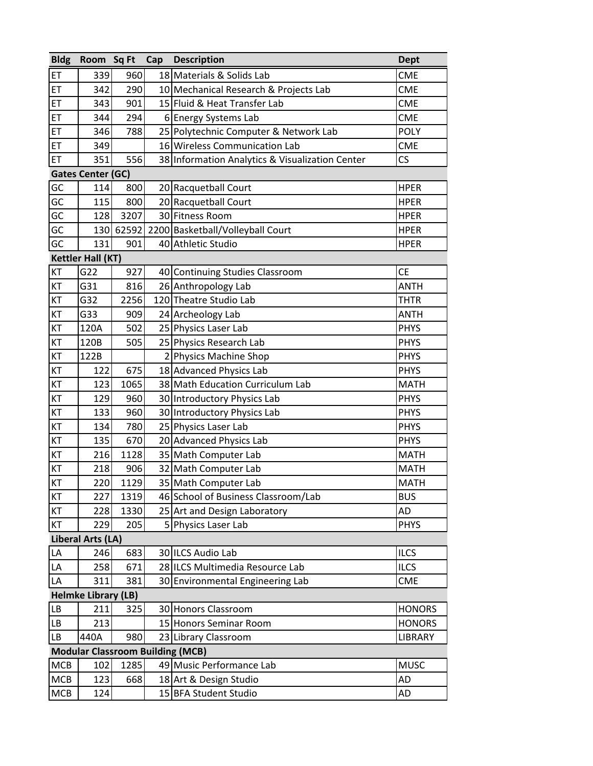| <b>Bldg</b> | Room Sq Ft                 |       | Cap | <b>Description</b>                              | <b>Dept</b>   |
|-------------|----------------------------|-------|-----|-------------------------------------------------|---------------|
| ET          | 339                        | 960   |     | 18 Materials & Solids Lab                       | <b>CME</b>    |
| ET          | 342                        | 290   |     | 10 Mechanical Research & Projects Lab           | <b>CME</b>    |
| ET          | 343                        | 901   |     | 15 Fluid & Heat Transfer Lab                    | <b>CME</b>    |
| ET          | 344                        | 294   |     | 6 Energy Systems Lab                            | <b>CME</b>    |
| ET          | 346                        | 788   |     | 25 Polytechnic Computer & Network Lab           | <b>POLY</b>   |
| ET          | 349                        |       |     | 16 Wireless Communication Lab                   | <b>CME</b>    |
| ET          | 351                        | 556   |     | 38 Information Analytics & Visualization Center | <b>CS</b>     |
|             | <b>Gates Center (GC)</b>   |       |     |                                                 |               |
| GC          | 114                        | 800   |     | 20 Racquetball Court                            | <b>HPER</b>   |
| GC          | 115                        | 800   |     | 20 Racquetball Court                            | <b>HPER</b>   |
| GC          | 128                        | 3207  |     | 30 Fitness Room                                 | <b>HPER</b>   |
| GC          | 130                        | 62592 |     | 2200 Basketball/Volleyball Court                | <b>HPER</b>   |
| GC          | 131                        | 901   |     | 40 Athletic Studio                              | <b>HPER</b>   |
|             | <b>Kettler Hall (KT)</b>   |       |     |                                                 |               |
| KT          | G22                        | 927   |     | 40 Continuing Studies Classroom                 | <b>CE</b>     |
| KT          | G31                        | 816   |     | 26 Anthropology Lab                             | <b>ANTH</b>   |
| KT          | G32                        | 2256  |     | 120 Theatre Studio Lab                          | <b>THTR</b>   |
| KT          | G33                        | 909   |     | 24 Archeology Lab                               | <b>ANTH</b>   |
| KT          | 120A                       | 502   |     | 25 Physics Laser Lab                            | <b>PHYS</b>   |
| KT          | 120B                       | 505   |     | 25 Physics Research Lab                         | <b>PHYS</b>   |
| KT          | 122B                       |       |     | 2 Physics Machine Shop                          | <b>PHYS</b>   |
| KT          | 122                        | 675   |     | 18 Advanced Physics Lab                         | <b>PHYS</b>   |
| KT          | 123                        | 1065  |     | 38 Math Education Curriculum Lab                | <b>MATH</b>   |
| KT          | 129                        | 960   |     | 30 Introductory Physics Lab                     | <b>PHYS</b>   |
| KT          | 133                        | 960   |     | 30 Introductory Physics Lab                     | <b>PHYS</b>   |
| KT          | 134                        | 780   |     | 25 Physics Laser Lab                            | <b>PHYS</b>   |
| КT          | 135                        | 670   |     | 20 Advanced Physics Lab                         | <b>PHYS</b>   |
| KT          | 216                        | 1128  |     | 35 Math Computer Lab                            | <b>MATH</b>   |
| KT          | 218                        | 906   |     | 32 Math Computer Lab                            | <b>MATH</b>   |
| KT          | 220                        | 1129  |     | 35 Math Computer Lab                            | <b>MATH</b>   |
| KT          | 227                        | 1319  |     | 46 School of Business Classroom/Lab             | <b>BUS</b>    |
| KT          | 228                        | 1330  |     | 25 Art and Design Laboratory                    | AD            |
| KT          | 229                        | 205   |     | 5 Physics Laser Lab                             | <b>PHYS</b>   |
|             | Liberal Arts (LA)          |       |     |                                                 |               |
| LA          | 246                        | 683   |     | 30 ILCS Audio Lab                               | <b>ILCS</b>   |
| LA          | 258                        | 671   |     | 28 ILCS Multimedia Resource Lab                 | <b>ILCS</b>   |
| LA          | 311                        | 381   |     | 30 Environmental Engineering Lab                | <b>CME</b>    |
|             | <b>Helmke Library (LB)</b> |       |     |                                                 |               |
| LВ          | 211                        | 325   |     | 30 Honors Classroom                             | <b>HONORS</b> |
| LB          | 213                        |       |     | 15 Honors Seminar Room                          | <b>HONORS</b> |
| LB          | 440A                       | 980   |     | 23 Library Classroom                            | LIBRARY       |
|             |                            |       |     | <b>Modular Classroom Building (MCB)</b>         |               |
| MCB         | 102                        | 1285  |     | 49 Music Performance Lab                        | <b>MUSC</b>   |
| MCB         | 123                        | 668   |     | 18 Art & Design Studio                          | AD            |
| MCB         | 124                        |       |     | 15 BFA Student Studio                           | AD            |
|             |                            |       |     |                                                 |               |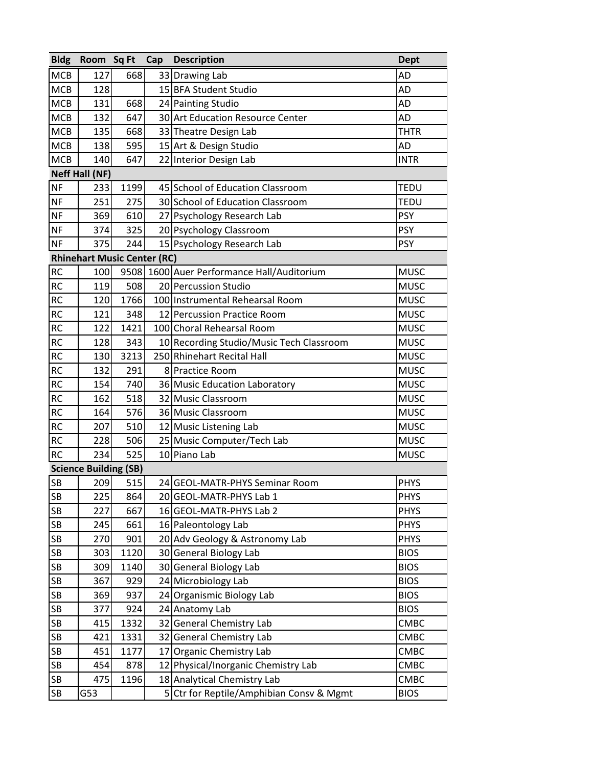| <b>Bldg</b> | Room Sq Ft                         |      | Cap | <b>Description</b>                       | <b>Dept</b> |
|-------------|------------------------------------|------|-----|------------------------------------------|-------------|
| MCB         | 127                                | 668  |     | 33 Drawing Lab                           | <b>AD</b>   |
| MCB         | 128                                |      |     | 15 BFA Student Studio                    | <b>AD</b>   |
| MCB         | 131                                | 668  |     | 24 Painting Studio                       | <b>AD</b>   |
| <b>MCB</b>  | 132                                | 647  |     | 30 Art Education Resource Center         | AD          |
| MCB         | 135                                | 668  |     | 33 Theatre Design Lab                    | <b>THTR</b> |
| <b>MCB</b>  | 138                                | 595  |     | 15 Art & Design Studio                   | <b>AD</b>   |
| <b>MCB</b>  | 140                                | 647  |     | 22 Interior Design Lab                   | <b>INTR</b> |
|             | <b>Neff Hall (NF)</b>              |      |     |                                          |             |
| <b>NF</b>   | 233                                | 1199 |     | 45 School of Education Classroom         | <b>TEDU</b> |
| <b>NF</b>   | 251                                | 275  |     | 30 School of Education Classroom         | <b>TEDU</b> |
| <b>NF</b>   | 369                                | 610  |     | 27 Psychology Research Lab               | <b>PSY</b>  |
| <b>NF</b>   | 374                                | 325  |     | 20 Psychology Classroom                  | <b>PSY</b>  |
| <b>NF</b>   | 375                                | 244  |     | 15 Psychology Research Lab               | <b>PSY</b>  |
|             | <b>Rhinehart Music Center (RC)</b> |      |     |                                          |             |
| <b>RC</b>   | 100                                | 9508 |     | 1600 Auer Performance Hall/Auditorium    | <b>MUSC</b> |
| <b>RC</b>   | 119                                | 508  |     | 20 Percussion Studio                     | <b>MUSC</b> |
| <b>RC</b>   | 120                                | 1766 |     | 100 Instrumental Rehearsal Room          | <b>MUSC</b> |
| <b>RC</b>   | 121                                | 348  |     | 12 Percussion Practice Room              | <b>MUSC</b> |
| <b>RC</b>   | 122                                | 1421 |     | 100 Choral Rehearsal Room                | <b>MUSC</b> |
| <b>RC</b>   | 128                                | 343  |     | 10 Recording Studio/Music Tech Classroom | <b>MUSC</b> |
| <b>RC</b>   | 130                                | 3213 |     | 250 Rhinehart Recital Hall               | <b>MUSC</b> |
| RC          | 132                                | 291  |     | 8 Practice Room                          | <b>MUSC</b> |
| <b>RC</b>   | 154                                | 740  |     | 36 Music Education Laboratory            | <b>MUSC</b> |
| <b>RC</b>   | 162                                | 518  |     | 32 Music Classroom                       | <b>MUSC</b> |
| <b>RC</b>   | 164                                | 576  |     | 36 Music Classroom                       | <b>MUSC</b> |
| <b>RC</b>   | 207                                | 510  |     | 12 Music Listening Lab                   | <b>MUSC</b> |
| <b>RC</b>   | 228                                | 506  |     | 25 Music Computer/Tech Lab               | <b>MUSC</b> |
| <b>RC</b>   | 234                                | 525  |     | 10 Piano Lab                             | <b>MUSC</b> |
|             | <b>Science Building (SB)</b>       |      |     |                                          |             |
| <b>SB</b>   | 209                                | 515  |     | 24 GEOL-MATR-PHYS Seminar Room           | PHYS        |
| SB          | 225                                | 864  |     | 20 GEOL-MATR-PHYS Lab 1                  | <b>PHYS</b> |
| ${\sf SB}$  | 227                                | 667  |     | 16 GEOL-MATR-PHYS Lab 2                  | <b>PHYS</b> |
| SB          | 245                                | 661  |     | 16 Paleontology Lab                      | <b>PHYS</b> |
| SB          | 270                                | 901  |     | 20 Adv Geology & Astronomy Lab           | <b>PHYS</b> |
| SB          | 303                                | 1120 |     | 30 General Biology Lab                   | <b>BIOS</b> |
| SB          | 309                                | 1140 |     | 30 General Biology Lab                   | <b>BIOS</b> |
| SB          | 367                                | 929  |     | 24 Microbiology Lab                      | <b>BIOS</b> |
| SB          | 369                                | 937  |     | 24 Organismic Biology Lab                | <b>BIOS</b> |
| SB          | 377                                | 924  |     | 24 Anatomy Lab                           | <b>BIOS</b> |
| SB          | 415                                | 1332 |     | 32 General Chemistry Lab                 | CMBC        |
| SB          | 421                                | 1331 |     | 32 General Chemistry Lab                 | CMBC        |
| SB          | 451                                | 1177 |     | 17 Organic Chemistry Lab                 | CMBC        |
| ${\sf SB}$  | 454                                | 878  |     | 12 Physical/Inorganic Chemistry Lab      | CMBC        |
| SB          | 475                                | 1196 |     | 18 Analytical Chemistry Lab              | CMBC        |
| <b>SB</b>   | G53                                |      |     | 5 Ctr for Reptile/Amphibian Consv & Mgmt | <b>BIOS</b> |